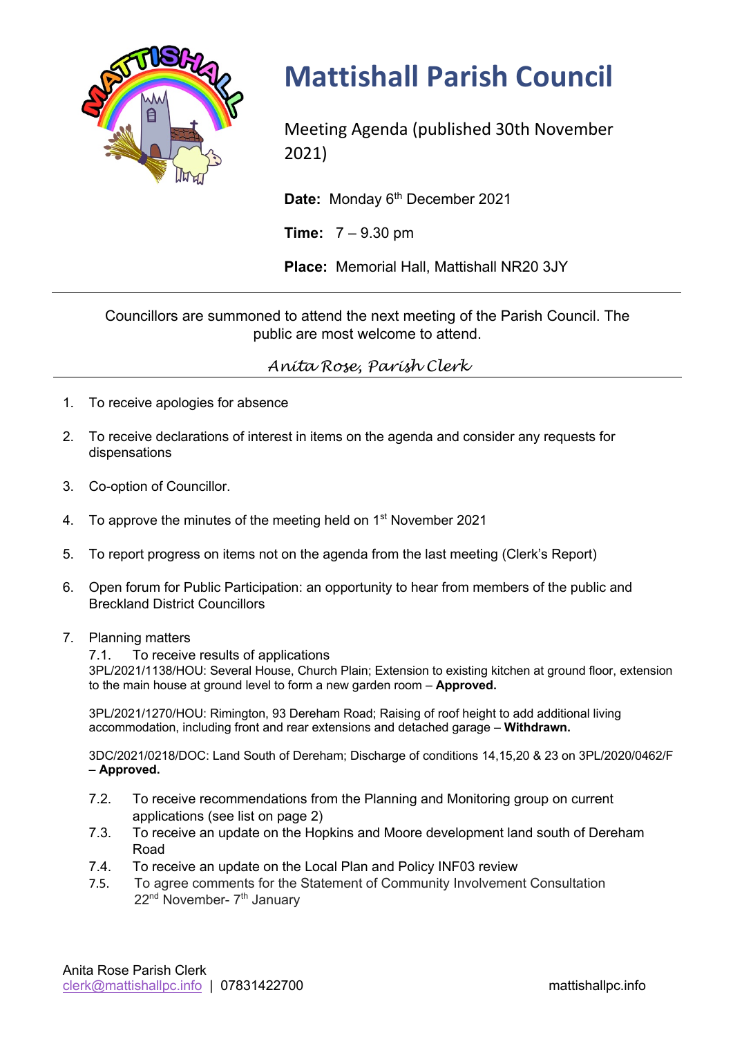

## **Mattishall Parish Council**

Meeting Agenda (published 30th November 2021)

Date: Monday 6<sup>th</sup> December 2021

**Time:** 7 – 9.30 pm

**Place:** Memorial Hall, Mattishall NR20 3JY

Councillors are summoned to attend the next meeting of the Parish Council. The public are most welcome to attend.

*Anita Rose, Parish Clerk*

- 1. To receive apologies for absence
- 2. To receive declarations of interest in items on the agenda and consider any requests for dispensations
- 3. Co-option of Councillor.
- 4. To approve the minutes of the meeting held on 1<sup>st</sup> November 2021
- 5. To report progress on items not on the agenda from the last meeting (Clerk's Report)
- 6. Open forum for Public Participation: an opportunity to hear from members of the public and Breckland District Councillors
- 7. Planning matters
	- 7.1. To receive results of applications

3PL/2021/1138/HOU: Several House, Church Plain; Extension to existing kitchen at ground floor, extension to the main house at ground level to form a new garden room – **Approved.**

3PL/2021/1270/HOU: Rimington, 93 Dereham Road; Raising of roof height to add additional living accommodation, including front and rear extensions and detached garage – **Withdrawn.**

3DC/2021/0218/DOC: Land South of Dereham; Discharge of conditions 14,15,20 & 23 on 3PL/2020/0462/F – **Approved.**

- 7.2. To receive recommendations from the Planning and Monitoring group on current applications (see list on page 2)
- 7.3. To receive an update on the Hopkins and Moore development land south of Dereham Road
- 7.4. To receive an update on the Local Plan and Policy INF03 review
- 7.5.To agree comments for the Statement of Community Involvement Consultation 22<sup>nd</sup> November- 7<sup>th</sup> January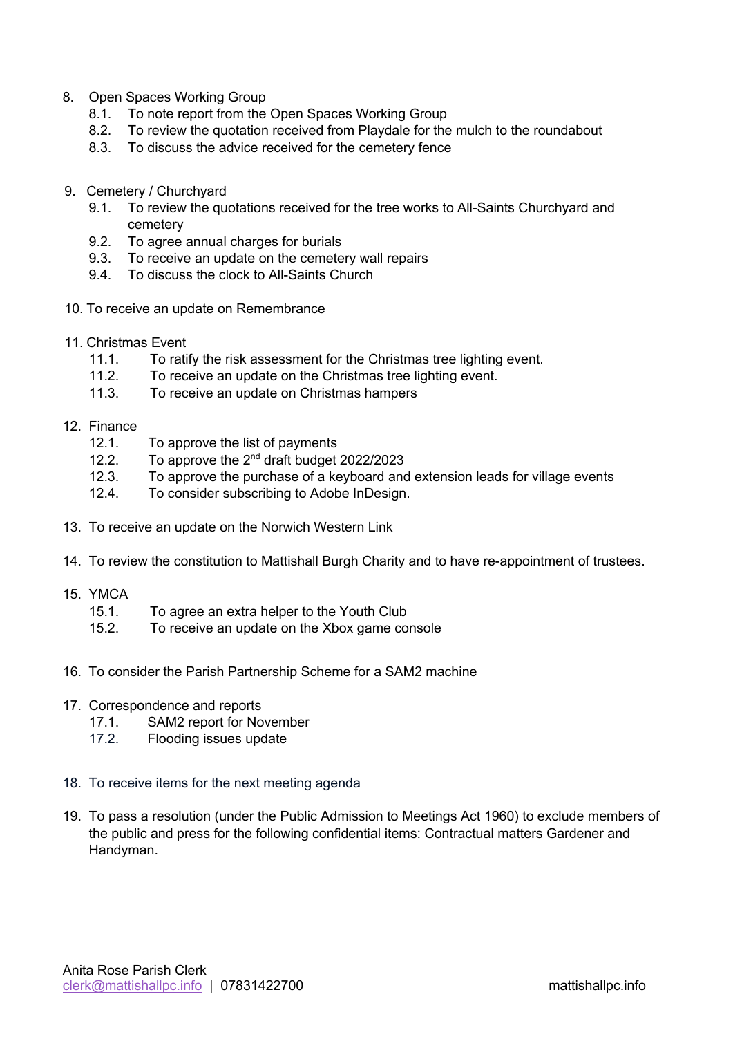- 8. Open Spaces Working Group
	- 8.1. To note report from the Open Spaces Working Group
	- 8.2. To review the quotation received from Playdale for the mulch to the roundabout
	- 8.3. To discuss the advice received for the cemetery fence
- 9. Cemetery / Churchyard
	- 9.1. To review the quotations received for the tree works to All-Saints Churchyard and cemetery
	- 9.2. To agree annual charges for burials
	- 9.3. To receive an update on the cemetery wall repairs
	- 9.4. To discuss the clock to All-Saints Church
- 10. To receive an update on Remembrance
- 11. Christmas Event
	- 11.1. To ratify the risk assessment for the Christmas tree lighting event.
	- 11.2. To receive an update on the Christmas tree lighting event.
	- 11.3. To receive an update on Christmas hampers
- 12. Finance
	- 12.1. To approve the list of payments
	- 12.2. To approve the 2<sup>nd</sup> draft budget 2022/2023
	- 12.3. To approve the purchase of a keyboard and extension leads for village events
	- 12.4. To consider subscribing to Adobe InDesign.
- 13. To receive an update on the Norwich Western Link
- 14. To review the constitution to Mattishall Burgh Charity and to have re-appointment of trustees.
- 15. YMCA
	- 15.1. To agree an extra helper to the Youth Club
	- 15.2. To receive an update on the Xbox game console
- 16. To consider the Parish Partnership Scheme for a SAM2 machine
- 17. Correspondence and reports
	- 17.1. SAM2 report for November
	- 17.2. Flooding issues update
- 18. To receive items for the next meeting agenda
- 19. To pass a resolution (under the Public Admission to Meetings Act 1960) to exclude members of the public and press for the following confidential items: Contractual matters Gardener and Handyman.